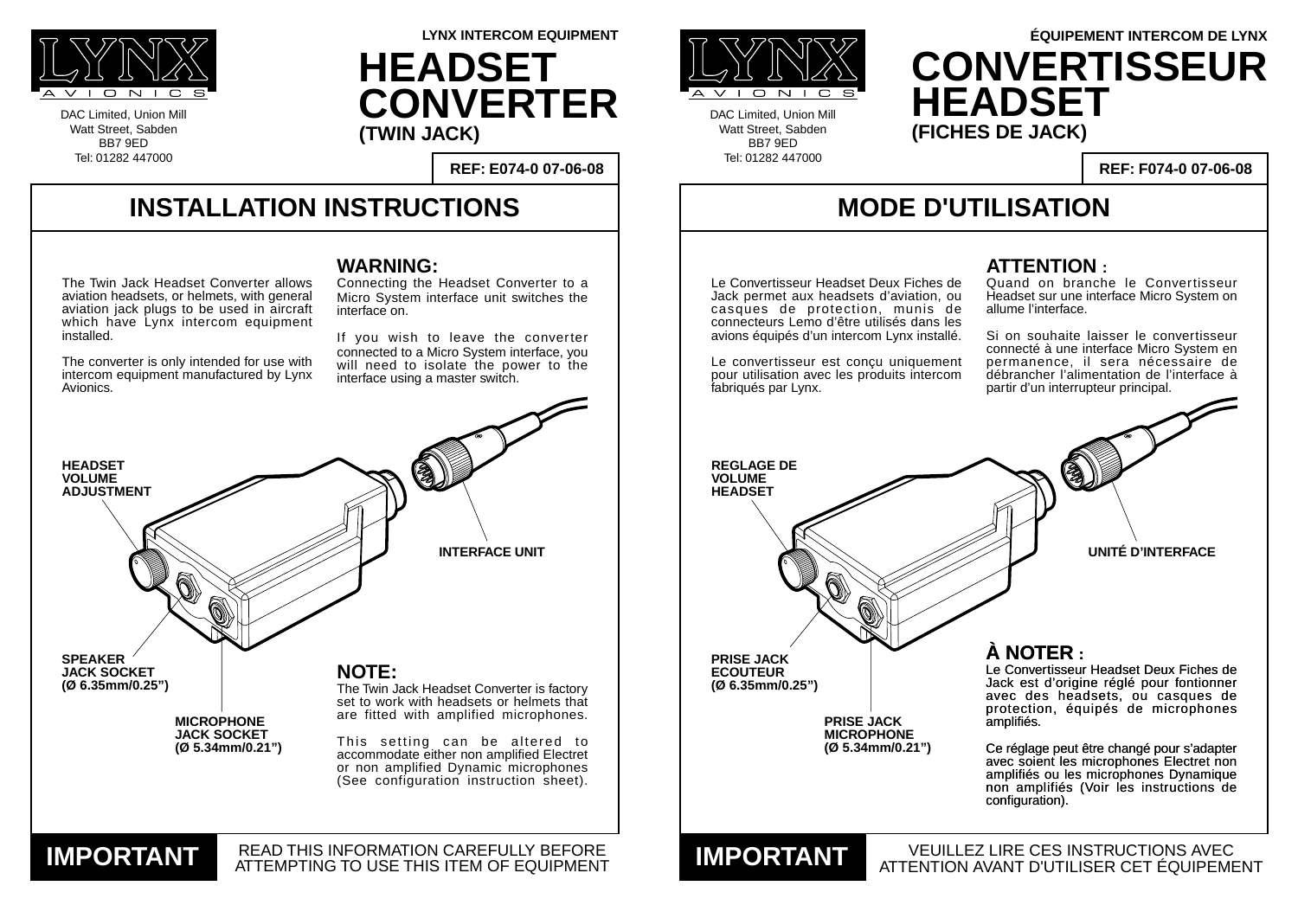## **INSTALLATION INSTRUCTIONS**

DAC Limited, Union Mill Watt Street, Sabden BB7 9ED Tel: 01282 447000



DAC Limited, Union Mill Watt Street, Sabden BB7 9ED Tel: 01282 447000

**REF: E074-0 07-06-08**

**LYNX INTERCOM EQUIPMENT**

# **MODE D'UTILISATION**

VEUILLEZ LIRE CES INSTRUCTIONS AVEC ATTENTION AVANT D'UTILISER CET ÉQUIPEMENT **IMPORTANT**

**REF: F074-0 07-06-08**

#### **WARNING:**

Connecting the Headset Converter to a Micro System interface unit switches the interface on.

If you wish to leave the converter connected to a Micro System interface, you will need to isolate the power to the interface using a master switch.





**UNITÉ D'INTERFACE**

### **ATTENTION :**

Quand on branche le Convertisseur Headset sur une interface Micro System on allume l'interface.

Si on souhaite laisser le convertisseur connecté à une interface Micro System en permanence, il sera nécessaire de débrancher l'alimentation de l'interface à partir d'un interrupteur principal.

**HEADSET CONVERTER (TWIN JACK)**

## **À NOTER :**

Le Convertisseur Headset Deux Fiches de Jack est d'origine réglé pour fontionner avec des headsets, ou casques de protection, équipés de microphones amplifiés.



# **ÉQUIPEMENT INTERCOM DE LYNX CONVERTISSEUR HEADSET (FICHES DE JACK)**

Ce réglage peut être changé pour s'adapter avec soient les microphones Electret non amplifiés ou les microphones Dynamique non amplifiés (Voir les instructions de configuration).

The Twin Jack Headset Converter allows aviation headsets, or helmets, with general aviation jack plugs to be used in aircraft which have Lynx intercom equipment installed.

The converter is only intended for use with intercom equipment manufactured by Lynx Avionics.

Le Convertisseur Headset Deux Fiches de Jack permet aux headsets d'aviation, ou casques de protection, munis de connecteurs Lemo d'être utilisés dans les avions équipés d'un intercom Lynx installé.

Le convertisseur est conçu uniquement pour utilisation avec les produits intercom fabriqués par Lynx.